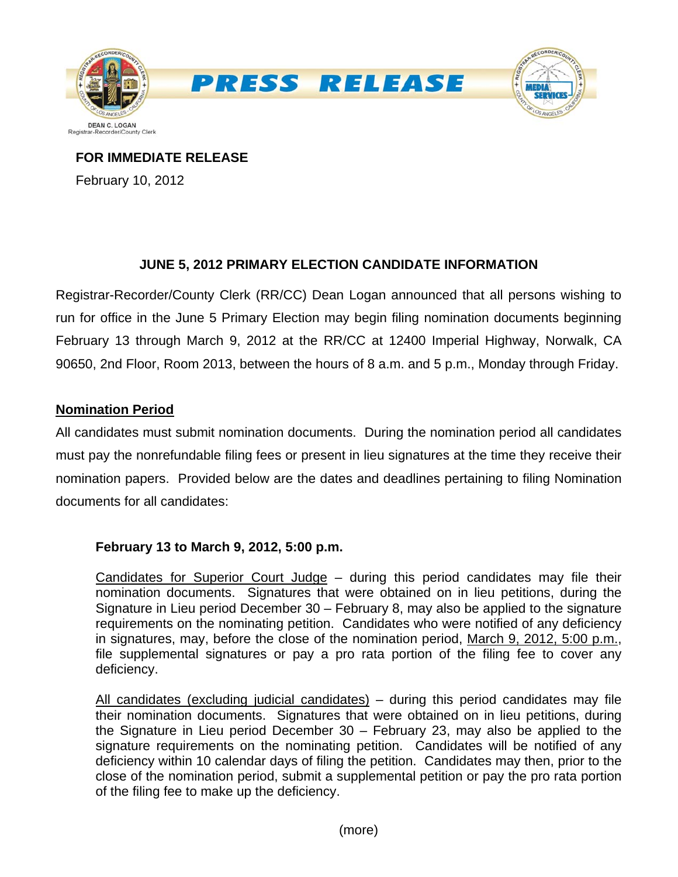

**FOR IMMEDIATE RELEASE**

February 10, 2012

# **JUNE 5, 2012 PRIMARY ELECTION CANDIDATE INFORMATION**

Registrar-Recorder/County Clerk (RR/CC) Dean Logan announced that all persons wishing to run for office in the June 5 Primary Election may begin filing nomination documents beginning February 13 through March 9, 2012 at the RR/CC at 12400 Imperial Highway, Norwalk, CA 90650, 2nd Floor, Room 2013, between the hours of 8 a.m. and 5 p.m., Monday through Friday.

## **Nomination Period**

All candidates must submit nomination documents. During the nomination period all candidates must pay the nonrefundable filing fees or present in lieu signatures at the time they receive their nomination papers. Provided below are the dates and deadlines pertaining to filing Nomination documents for all candidates:

## **February 13 to March 9, 2012, 5:00 p.m.**

Candidates for Superior Court Judge – during this period candidates may file their nomination documents. Signatures that were obtained on in lieu petitions, during the Signature in Lieu period December 30 – February 8, may also be applied to the signature requirements on the nominating petition. Candidates who were notified of any deficiency in signatures, may, before the close of the nomination period, March 9, 2012, 5:00 p.m., file supplemental signatures or pay a pro rata portion of the filing fee to cover any deficiency.

All candidates (excluding judicial candidates) – during this period candidates may file their nomination documents. Signatures that were obtained on in lieu petitions, during the Signature in Lieu period December 30 – February 23, may also be applied to the signature requirements on the nominating petition. Candidates will be notified of any deficiency within 10 calendar days of filing the petition. Candidates may then, prior to the close of the nomination period, submit a supplemental petition or pay the pro rata portion of the filing fee to make up the deficiency.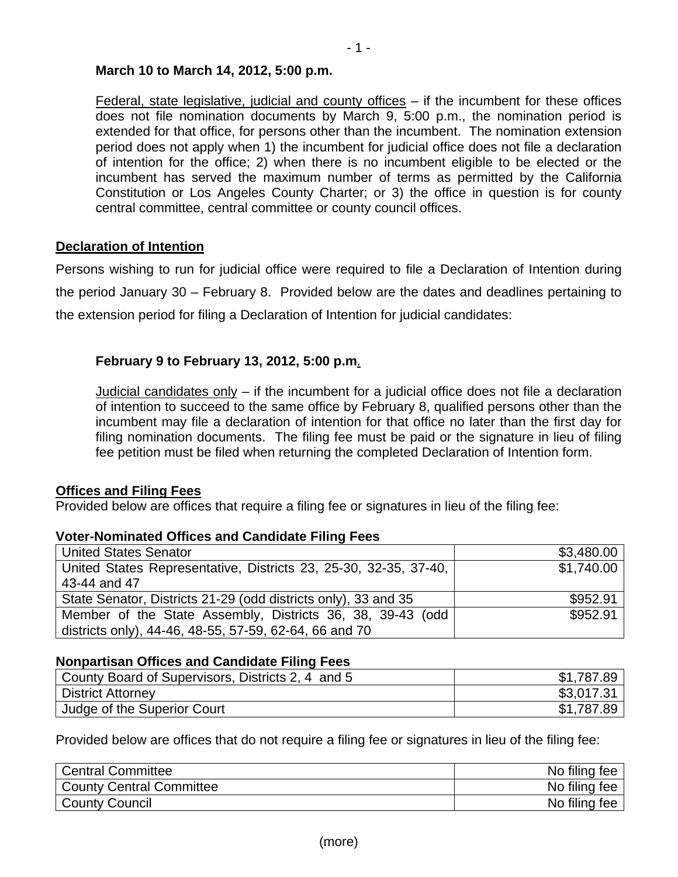#### **March 10 to March 14, 2012, 5:00 p.m.**

Federal, state legislative, judicial and county offices – if the incumbent for these offices does not file nomination documents by March 9, 5:00 p.m., the nomination period is extended for that office, for persons other than the incumbent. The nomination extension period does not apply when 1) the incumbent for judicial office does not file a declaration of intention for the office; 2) when there is no incumbent eligible to be elected or the incumbent has served the maximum number of terms as permitted by the California Constitution or Los Angeles County Charter; or 3) the office in question is for county central committee, central committee or county council offices.

### **Declaration of Intention**

Persons wishing to run for judicial office were required to file a Declaration of Intention during the period January 30 – February 8. Provided below are the dates and deadlines pertaining to the extension period for filing a Declaration of Intention for judicial candidates:

### **February 9 to February 13, 2012, 5:00 p.m**.

Judicial candidates only  $-$  if the incumbent for a judicial office does not file a declaration of intention to succeed to the same office by February 8, qualified persons other than the incumbent may file a declaration of intention for that office no later than the first day for filing nomination documents. The filing fee must be paid or the signature in lieu of filing fee petition must be filed when returning the completed Declaration of Intention form.

### **Offices and Filing Fees**

Provided below are offices that require a filing fee or signatures in lieu of the filing fee:

| <b>TOWE HOMINIQUO OMOO GITS OGHARAGE FINISH OOO</b>              |            |
|------------------------------------------------------------------|------------|
| <b>United States Senator</b>                                     | \$3,480.00 |
| United States Representative, Districts 23, 25-30, 32-35, 37-40, | \$1,740.00 |
| 43-44 and 47                                                     |            |
| State Senator, Districts 21-29 (odd districts only), 33 and 35   | \$952.91   |
| Member of the State Assembly, Districts 36, 38, 39-43 (odd       | \$952.91   |
| districts only), 44-46, 48-55, 57-59, 62-64, 66 and 70           |            |

## **Voter-Nominated Offices and Candidate Filing Fees**

#### **Nonpartisan Offices and Candidate Filing Fees**

| County Board of Supervisors, Districts 2, 4 and 5 | \$1,787.89 |
|---------------------------------------------------|------------|
| <b>District Attorney</b>                          | \$3,017.31 |
| Judge of the Superior Court                       | \$1,787.89 |

Provided below are offices that do not require a filing fee or signatures in lieu of the filing fee:

| <b>Central Committee</b>        | No filing fee |
|---------------------------------|---------------|
| <b>County Central Committee</b> | No filing fee |
| <b>County Council</b>           | No filing fee |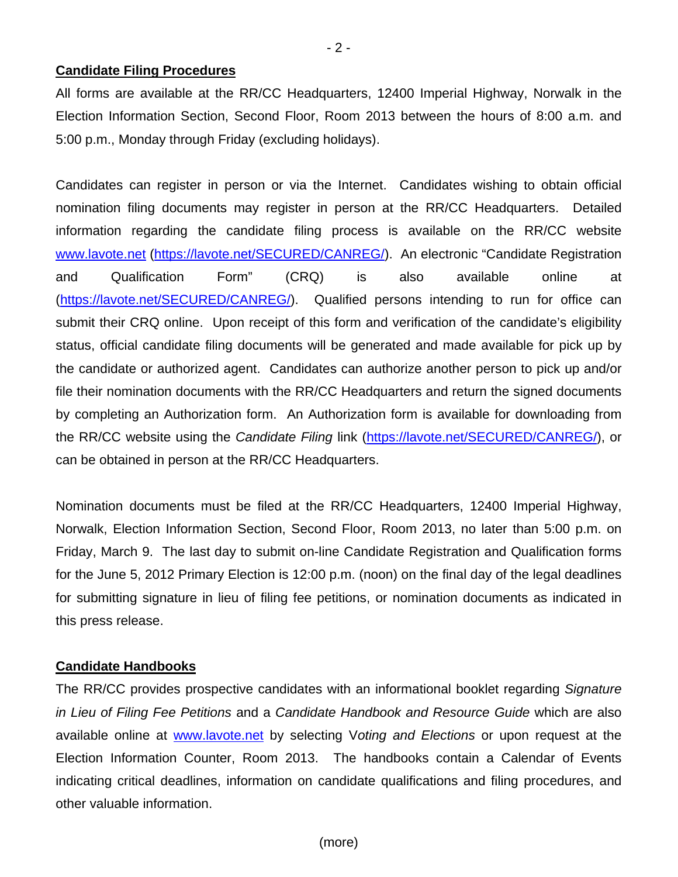#### **Candidate Filing Procedures**

All forms are available at the RR/CC Headquarters, 12400 Imperial Highway, Norwalk in the Election Information Section, Second Floor, Room 2013 between the hours of 8:00 a.m. and 5:00 p.m., Monday through Friday (excluding holidays).

Candidates can register in person or via the Internet. Candidates wishing to obtain official nomination filing documents may register in person at the RR/CC Headquarters. Detailed information regarding the candidate filing process is available on the RR/CC website [www.lavote.net](http://www.lavote.net/) [\(https://lavote.net/SECURED/CANREG/](https://lavote.net/SECURED/CANREG/)). An electronic "Candidate Registration and Qualification Form" (CRQ) is also available online at [\(https://lavote.net/SECURED/CANREG/](https://lavote.net/SECURED/CANREG/)). Qualified persons intending to run for office can submit their CRQ online. Upon receipt of this form and verification of the candidate's eligibility status, official candidate filing documents will be generated and made available for pick up by the candidate or authorized agent. Candidates can authorize another person to pick up and/or file their nomination documents with the RR/CC Headquarters and return the signed documents by completing an Authorization form. An Authorization form is available for downloading from the RR/CC website using the *Candidate Filing* link [\(https://lavote.net/SECURED/CANREG/](https://lavote.net/SECURED/CANREG/)), or can be obtained in person at the RR/CC Headquarters.

Nomination documents must be filed at the RR/CC Headquarters, 12400 Imperial Highway, Norwalk, Election Information Section, Second Floor, Room 2013, no later than 5:00 p.m. on Friday, March 9. The last day to submit on-line Candidate Registration and Qualification forms for the June 5, 2012 Primary Election is 12:00 p.m. (noon) on the final day of the legal deadlines for submitting signature in lieu of filing fee petitions, or nomination documents as indicated in this press release.

#### **Candidate Handbooks**

The RR/CC provides prospective candidates with an informational booklet regarding *Signature in Lieu of Filing Fee Petitions* and a *Candidate Handbook and Resource Guide* which are also available online at [www.lavote.net](http://www.lavote.net/) by selecting V*oting and Elections* or upon request at the Election Information Counter, Room 2013. The handbooks contain a Calendar of Events indicating critical deadlines, information on candidate qualifications and filing procedures, and other valuable information.